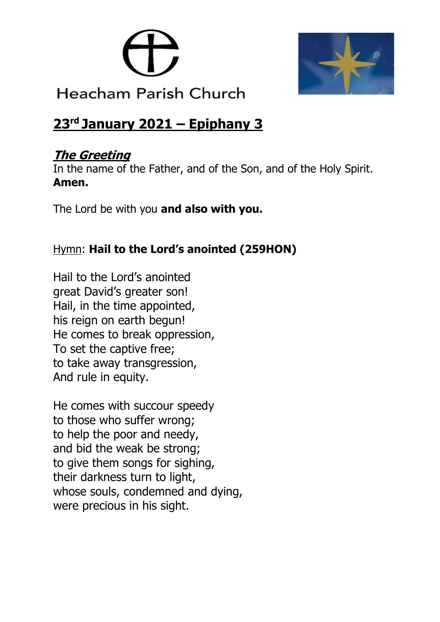



# **23 rd January 2021 – Epiphany 3**

# **The Greeting**

In the name of the Father, and of the Son, and of the Holy Spirit. **Amen.**

The Lord be with you **and also with you.**

# Hymn: **Hail to the Lord's anointed (259HON)**

Hail to the Lord's anointed great David's greater son! Hail, in the time appointed, his reign on earth begun! He comes to break oppression, To set the captive free; to take away transgression, And rule in equity.

He comes with succour speedy to those who suffer wrong; to help the poor and needy, and bid the weak be strong; to give them songs for sighing, their darkness turn to light, whose souls, condemned and dying, were precious in his sight.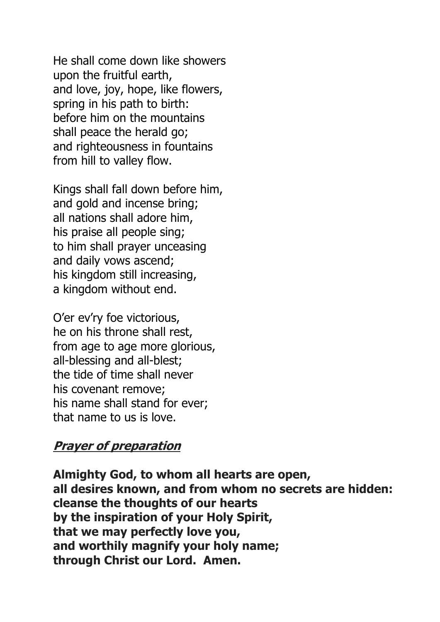He shall come down like showers upon the fruitful earth, and love, joy, hope, like flowers, spring in his path to birth: before him on the mountains shall peace the herald go; and righteousness in fountains from hill to valley flow.

Kings shall fall down before him, and gold and incense bring; all nations shall adore him, his praise all people sing; to him shall prayer unceasing and daily vows ascend; his kingdom still increasing, a kingdom without end.

O'er ev'ry foe victorious, he on his throne shall rest, from age to age more glorious, all-blessing and all-blest; the tide of time shall never his covenant remove; his name shall stand for ever; that name to us is love.

#### **Prayer of preparation**

**Almighty God, to whom all hearts are open, all desires known, and from whom no secrets are hidden: cleanse the thoughts of our hearts by the inspiration of your Holy Spirit, that we may perfectly love you, and worthily magnify your holy name; through Christ our Lord. Amen.**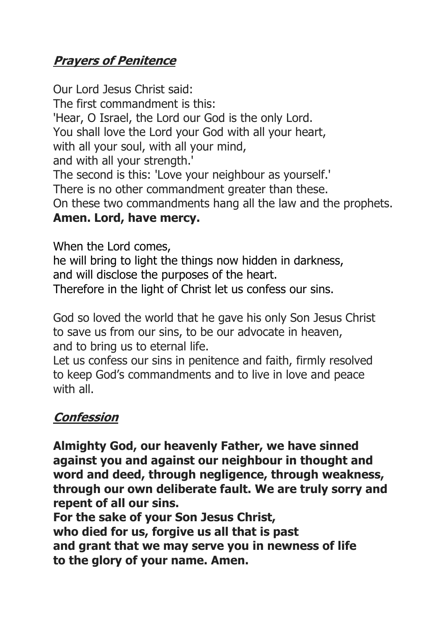# **Prayers of Penitence**

Our Lord Jesus Christ said: The first commandment is this: 'Hear, O Israel, the Lord our God is the only Lord. You shall love the Lord your God with all your heart, with all your soul, with all your mind, and with all your strength.' The second is this: 'Love your neighbour as yourself.' There is no other commandment greater than these. On these two commandments hang all the law and the prophets. **Amen. Lord, have mercy.**

When the Lord comes, he will bring to light the things now hidden in darkness, and will disclose the purposes of the heart. Therefore in the light of Christ let us confess our sins.

God so loved the world that he gave his only Son Jesus Christ to save us from our sins, to be our advocate in heaven, and to bring us to eternal life.

Let us confess our sins in penitence and faith, firmly resolved to keep God's commandments and to live in love and peace with all.

## **Confession**

**Almighty God, our heavenly Father, we have sinned against you and against our neighbour in thought and word and deed, through negligence, through weakness, through our own deliberate fault. We are truly sorry and repent of all our sins.**

**For the sake of your Son Jesus Christ, who died for us, forgive us all that is past and grant that we may serve you in newness of life to the glory of your name. Amen.**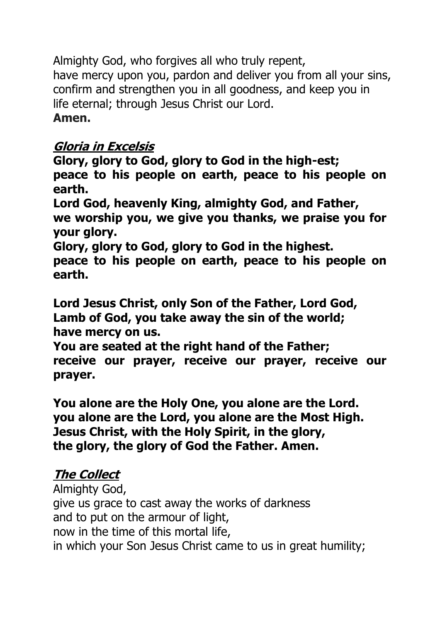Almighty God, who forgives all who truly repent, have mercy upon you, pardon and deliver you from all your sins, confirm and strengthen you in all goodness, and keep you in life eternal; through Jesus Christ our Lord. **Amen.**

## **Gloria in Excelsis**

**Glory, glory to God, glory to God in the high-est; peace to his people on earth, peace to his people on earth.** 

**Lord God, heavenly King, almighty God, and Father, we worship you, we give you thanks, we praise you for your glory.**

**Glory, glory to God, glory to God in the highest.**

**peace to his people on earth, peace to his people on earth.**

**Lord Jesus Christ, only Son of the Father, Lord God, Lamb of God, you take away the sin of the world; have mercy on us.** 

**You are seated at the right hand of the Father; receive our prayer, receive our prayer, receive our prayer.** 

**You alone are the Holy One, you alone are the Lord. you alone are the Lord, you alone are the Most High. Jesus Christ, with the Holy Spirit, in the glory, the glory, the glory of God the Father. Amen.**

# **The Collect**

Almighty God, give us grace to cast away the works of darkness and to put on the armour of light, now in the time of this mortal life, in which your Son Jesus Christ came to us in great humility;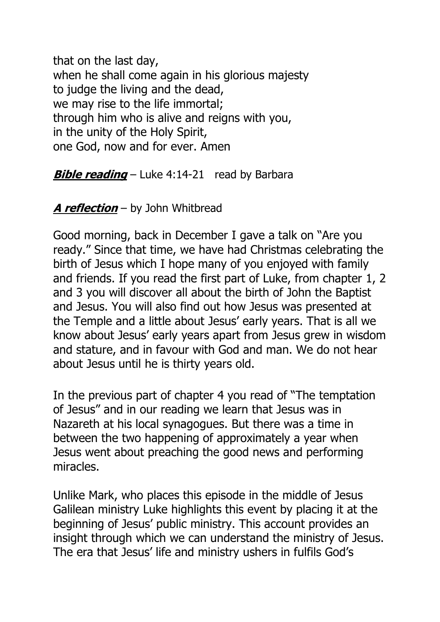that on the last day, when he shall come again in his glorious majesty to judge the living and the dead, we may rise to the life immortal; through him who is alive and reigns with you, in the unity of the Holy Spirit, one God, now and for ever. Amen

**Bible reading** – Luke 4:14-21 read by Barbara

**A reflection** – by John Whitbread

Good morning, back in December I gave a talk on "Are you ready." Since that time, we have had Christmas celebrating the birth of Jesus which I hope many of you enjoyed with family and friends. If you read the first part of Luke, from chapter 1, 2 and 3 you will discover all about the birth of John the Baptist and Jesus. You will also find out how Jesus was presented at the Temple and a little about Jesus' early years. That is all we know about Jesus' early years apart from Jesus grew in wisdom and stature, and in favour with God and man. We do not hear about Jesus until he is thirty years old.

In the previous part of chapter 4 you read of "The temptation of Jesus" and in our reading we learn that Jesus was in Nazareth at his local synagogues. But there was a time in between the two happening of approximately a year when Jesus went about preaching the good news and performing miracles.

Unlike Mark, who places this episode in the middle of Jesus Galilean ministry Luke highlights this event by placing it at the beginning of Jesus' public ministry. This account provides an insight through which we can understand the ministry of Jesus. The era that Jesus' life and ministry ushers in fulfils God's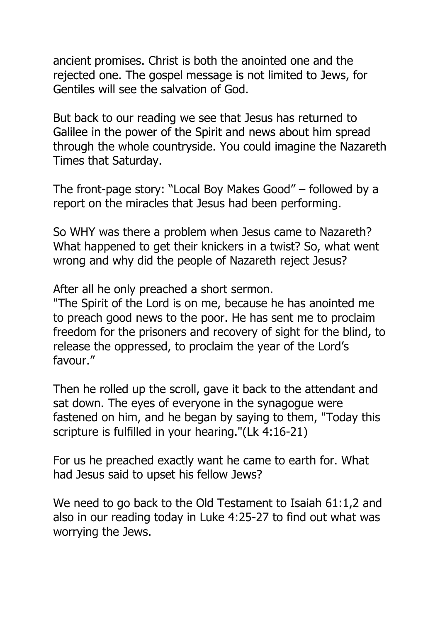ancient promises. Christ is both the anointed one and the rejected one. The gospel message is not limited to Jews, for Gentiles will see the salvation of God.

But back to our reading we see that Jesus has returned to Galilee in the power of the Spirit and news about him spread through the whole countryside. You could imagine the Nazareth Times that Saturday.

The front-page story: "Local Boy Makes Good" – followed by a report on the miracles that Jesus had been performing.

So WHY was there a problem when Jesus came to Nazareth? What happened to get their knickers in a twist? So, what went wrong and why did the people of Nazareth reject Jesus?

After all he only preached a short sermon.

"The Spirit of the Lord is on me, because he has anointed me to preach good news to the poor. He has sent me to proclaim freedom for the prisoners and recovery of sight for the blind, to release the oppressed, to proclaim the year of the Lord's favour."

Then he rolled up the scroll, gave it back to the attendant and sat down. The eyes of everyone in the synagogue were fastened on him, and he began by saying to them, "Today this scripture is fulfilled in your hearing."(Lk 4:16-21)

For us he preached exactly want he came to earth for. What had Jesus said to upset his fellow Jews?

We need to go back to the Old Testament to Isaiah 61:1,2 and also in our reading today in Luke 4:25-27 to find out what was worrying the Jews.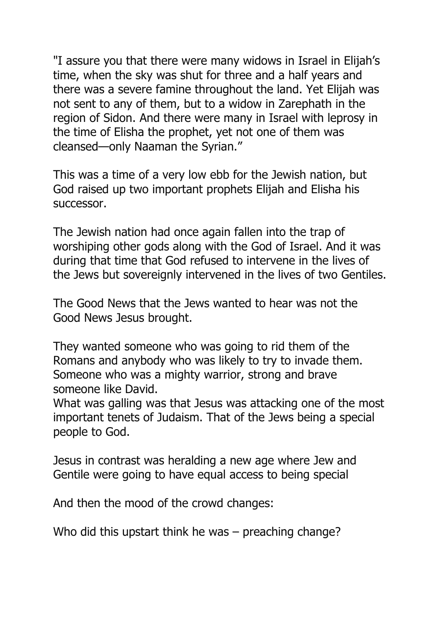"I assure you that there were many widows in Israel in Elijah's time, when the sky was shut for three and a half years and there was a severe famine throughout the land. Yet Elijah was not sent to any of them, but to a widow in Zarephath in the region of Sidon. And there were many in Israel with leprosy in the time of Elisha the prophet, yet not one of them was cleansed—only Naaman the Syrian."

This was a time of a very low ebb for the Jewish nation, but God raised up two important prophets Elijah and Elisha his successor.

The Jewish nation had once again fallen into the trap of worshiping other gods along with the God of Israel. And it was during that time that God refused to intervene in the lives of the Jews but sovereignly intervened in the lives of two Gentiles.

The Good News that the Jews wanted to hear was not the Good News Jesus brought.

They wanted someone who was going to rid them of the Romans and anybody who was likely to try to invade them. Someone who was a mighty warrior, strong and brave someone like David.

What was galling was that Jesus was attacking one of the most important tenets of Judaism. That of the Jews being a special people to God.

Jesus in contrast was heralding a new age where Jew and Gentile were going to have equal access to being special

And then the mood of the crowd changes:

Who did this upstart think he was – preaching change?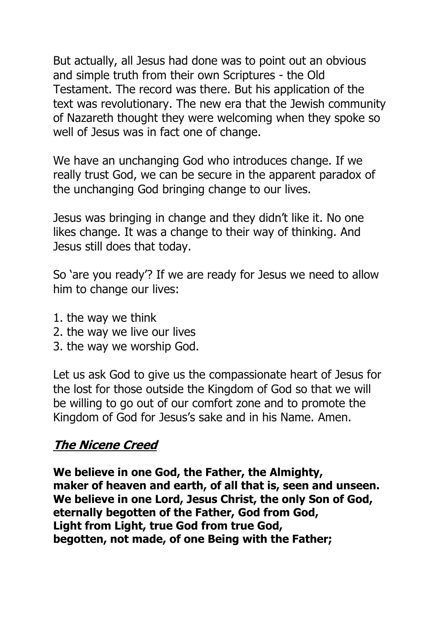But actually, all Jesus had done was to point out an obvious and simple truth from their own Scriptures - the Old Testament. The record was there. But his application of the text was revolutionary. The new era that the Jewish community of Nazareth thought they were welcoming when they spoke so well of Jesus was in fact one of change.

We have an unchanging God who introduces change. If we really trust God, we can be secure in the apparent paradox of the unchanging God bringing change to our lives.

Jesus was bringing in change and they didn't like it. No one likes change. It was a change to their way of thinking. And Jesus still does that today.

So 'are you ready'? If we are ready for Jesus we need to allow him to change our lives:

- 1. the way we think
- 2. the way we live our lives
- 3. the way we worship God.

Let us ask God to give us the compassionate heart of Jesus for the lost for those outside the Kingdom of God so that we will be willing to go out of our comfort zone and to promote the Kingdom of God for Jesus's sake and in his Name. Amen.

#### **The Nicene Creed**

**We believe in one God, the Father, the Almighty, maker of heaven and earth, of all that is, seen and unseen. We believe in one Lord, Jesus Christ, the only Son of God, eternally begotten of the Father, God from God, Light from Light, true God from true God, begotten, not made, of one Being with the Father;**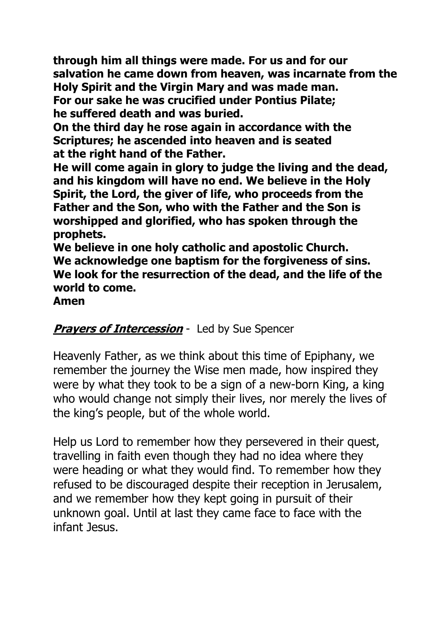**through him all things were made. For us and for our salvation he came down from heaven, was incarnate from the Holy Spirit and the Virgin Mary and was made man. For our sake he was crucified under Pontius Pilate;**

**he suffered death and was buried.**

**On the third day he rose again in accordance with the Scriptures; he ascended into heaven and is seated at the right hand of the Father.**

**He will come again in glory to judge the living and the dead, and his kingdom will have no end. We believe in the Holy Spirit, the Lord, the giver of life, who proceeds from the Father and the Son, who with the Father and the Son is worshipped and glorified, who has spoken through the prophets.**

**We believe in one holy catholic and apostolic Church. We acknowledge one baptism for the forgiveness of sins. We look for the resurrection of the dead, and the life of the world to come.**

**Amen**

### **Prayers of Intercession** - Led by Sue Spencer

Heavenly Father, as we think about this time of Epiphany, we remember the journey the Wise men made, how inspired they were by what they took to be a sign of a new-born King, a king who would change not simply their lives, nor merely the lives of the king's people, but of the whole world.

Help us Lord to remember how they persevered in their quest, travelling in faith even though they had no idea where they were heading or what they would find. To remember how they refused to be discouraged despite their reception in Jerusalem, and we remember how they kept going in pursuit of their unknown goal. Until at last they came face to face with the infant Jesus.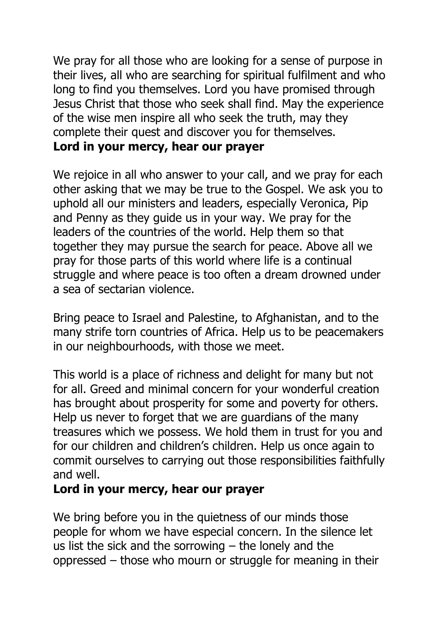We pray for all those who are looking for a sense of purpose in their lives, all who are searching for spiritual fulfilment and who long to find you themselves. Lord you have promised through Jesus Christ that those who seek shall find. May the experience of the wise men inspire all who seek the truth, may they complete their quest and discover you for themselves.

### **Lord in your mercy, hear our prayer**

We rejoice in all who answer to your call, and we pray for each other asking that we may be true to the Gospel. We ask you to uphold all our ministers and leaders, especially Veronica, Pip and Penny as they guide us in your way. We pray for the leaders of the countries of the world. Help them so that together they may pursue the search for peace. Above all we pray for those parts of this world where life is a continual struggle and where peace is too often a dream drowned under a sea of sectarian violence.

Bring peace to Israel and Palestine, to Afghanistan, and to the many strife torn countries of Africa. Help us to be peacemakers in our neighbourhoods, with those we meet.

This world is a place of richness and delight for many but not for all. Greed and minimal concern for your wonderful creation has brought about prosperity for some and poverty for others. Help us never to forget that we are guardians of the many treasures which we possess. We hold them in trust for you and for our children and children's children. Help us once again to commit ourselves to carrying out those responsibilities faithfully and well.

### **Lord in your mercy, hear our prayer**

We bring before you in the quietness of our minds those people for whom we have especial concern. In the silence let us list the sick and the sorrowing – the lonely and the oppressed – those who mourn or struggle for meaning in their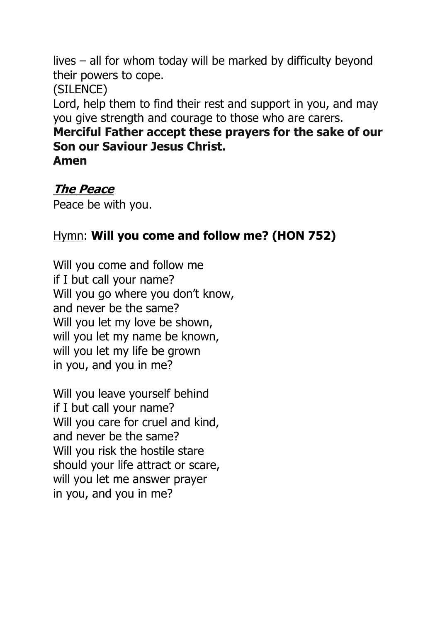lives – all for whom today will be marked by difficulty beyond their powers to cope.

(SILENCE)

Lord, help them to find their rest and support in you, and may you give strength and courage to those who are carers.

# **Merciful Father accept these prayers for the sake of our Son our Saviour Jesus Christ.**

**Amen**

# **The Peace**

Peace be with you.

# Hymn: **Will you come and follow me? (HON 752)**

Will you come and follow me if I but call your name? Will you go where you don't know, and never be the same? Will you let my love be shown, will you let my name be known, will you let my life be grown in you, and you in me?

Will you leave yourself behind if I but call your name? Will you care for cruel and kind, and never be the same? Will you risk the hostile stare should your life attract or scare, will you let me answer prayer in you, and you in me?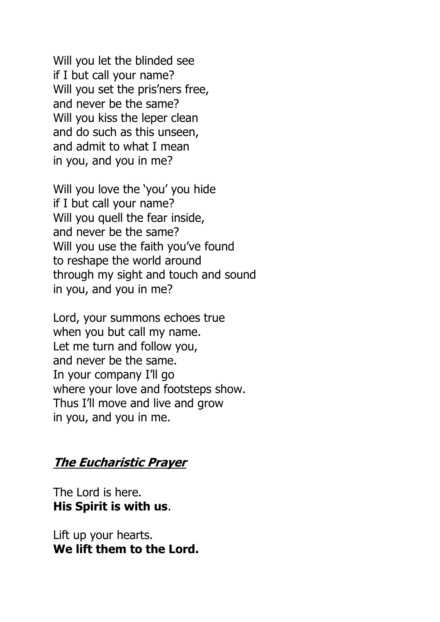Will you let the blinded see if I but call your name? Will you set the pris'ners free, and never be the same? Will you kiss the leper clean and do such as this unseen, and admit to what I mean in you, and you in me?

Will you love the 'you' you hide if I but call your name? Will you quell the fear inside, and never be the same? Will you use the faith you've found to reshape the world around through my sight and touch and sound in you, and you in me?

Lord, your summons echoes true when you but call my name. Let me turn and follow you, and never be the same. In your company I'll go where your love and footsteps show. Thus I'll move and live and grow in you, and you in me.

### **The Eucharistic Prayer**

The Lord is here. **His Spirit is with us**.

Lift up your hearts. **We lift them to the Lord.**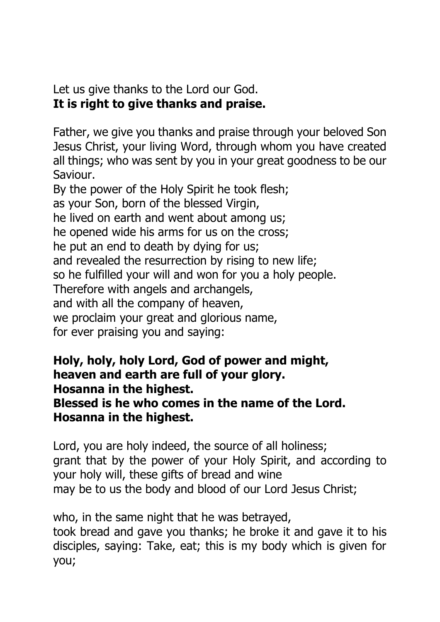Let us give thanks to the Lord our God. **It is right to give thanks and praise.**

Father, we give you thanks and praise through your beloved Son Jesus Christ, your living Word, through whom you have created all things; who was sent by you in your great goodness to be our Saviour.

By the power of the Holy Spirit he took flesh; as your Son, born of the blessed Virgin, he lived on earth and went about among us; he opened wide his arms for us on the cross; he put an end to death by dying for us; and revealed the resurrection by rising to new life; so he fulfilled your will and won for you a holy people. Therefore with angels and archangels, and with all the company of heaven, we proclaim your great and glorious name, for ever praising you and saying:

#### **Holy, holy, holy Lord, God of power and might, heaven and earth are full of your glory. Hosanna in the highest. Blessed is he who comes in the name of the Lord. Hosanna in the highest.**

Lord, you are holy indeed, the source of all holiness; grant that by the power of your Holy Spirit, and according to your holy will, these gifts of bread and wine may be to us the body and blood of our Lord Jesus Christ;

who, in the same night that he was betrayed, took bread and gave you thanks; he broke it and gave it to his disciples, saying: Take, eat; this is my body which is given for you;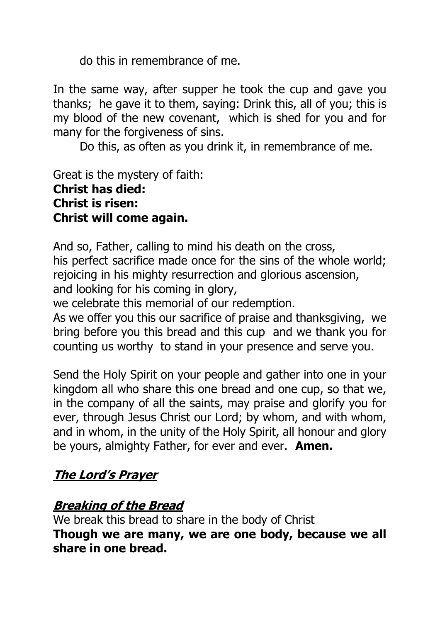do this in remembrance of me.

In the same way, after supper he took the cup and gave you thanks; he gave it to them, saying: Drink this, all of you; this is my blood of the new covenant, which is shed for you and for many for the forgiveness of sins.

Do this, as often as you drink it, in remembrance of me.

Great is the mystery of faith: **Christ has died: Christ is risen: Christ will come again.**

And so, Father, calling to mind his death on the cross, his perfect sacrifice made once for the sins of the whole world; rejoicing in his mighty resurrection and glorious ascension, and looking for his coming in glory,

we celebrate this memorial of our redemption.

As we offer you this our sacrifice of praise and thanksgiving, we bring before you this bread and this cup and we thank you for counting us worthy to stand in your presence and serve you.

Send the Holy Spirit on your people and gather into one in your kingdom all who share this one bread and one cup, so that we, in the company of all the saints, may praise and glorify you for ever, through Jesus Christ our Lord; by whom, and with whom, and in whom, in the unity of the Holy Spirit, all honour and glory be yours, almighty Father, for ever and ever. **Amen.**

## **The Lord's Prayer**

## **Breaking of the Bread**

We break this bread to share in the body of Christ **Though we are many, we are one body, because we all share in one bread.**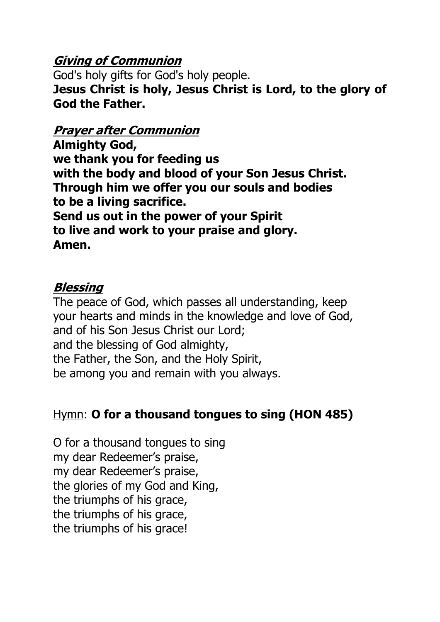### **Giving of Communion**

God's holy gifts for God's holy people.

**Jesus Christ is holy, Jesus Christ is Lord, to the glory of God the Father.**

#### **Prayer after Communion**

**Almighty God, we thank you for feeding us with the body and blood of your Son Jesus Christ. Through him we offer you our souls and bodies to be a living sacrifice. Send us out in the power of your Spirit to live and work to your praise and glory. Amen.**

### **Blessing**

The peace of God, which passes all understanding, keep your hearts and minds in the knowledge and love of God, and of his Son Jesus Christ our Lord; and the blessing of God almighty, the Father, the Son, and the Holy Spirit, be among you and remain with you always.

### Hymn: **O for a thousand tongues to sing (HON 485)**

O for a thousand tongues to sing my dear Redeemer's praise, my dear Redeemer's praise, the glories of my God and King, the triumphs of his grace, the triumphs of his grace, the triumphs of his grace!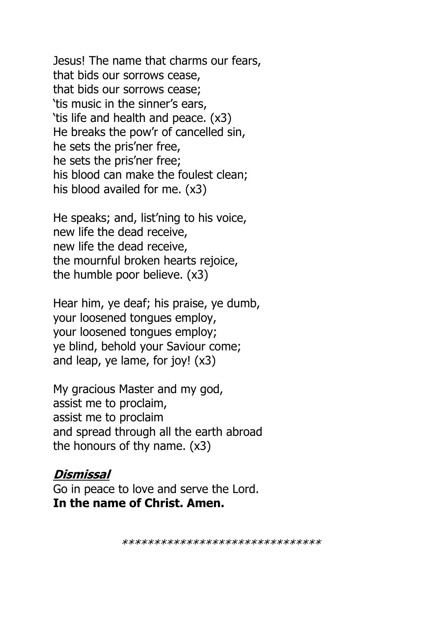Jesus! The name that charms our fears, that bids our sorrows cease, that bids our sorrows cease; 'tis music in the sinner's ears, 'tis life and health and peace. (x3) He breaks the pow'r of cancelled sin, he sets the pris'ner free, he sets the pris'ner free; his blood can make the foulest clean; his blood availed for me. (x3)

He speaks; and, list'ning to his voice, new life the dead receive, new life the dead receive, the mournful broken hearts rejoice, the humble poor believe. (x3)

Hear him, ye deaf; his praise, ye dumb, your loosened tongues employ, your loosened tongues employ; ye blind, behold your Saviour come; and leap, ye lame, for joy! (x3)

My gracious Master and my god, assist me to proclaim, assist me to proclaim and spread through all the earth abroad the honours of thy name. (x3)

#### **Dismissal**

Go in peace to love and serve the Lord. **In the name of Christ. Amen.**